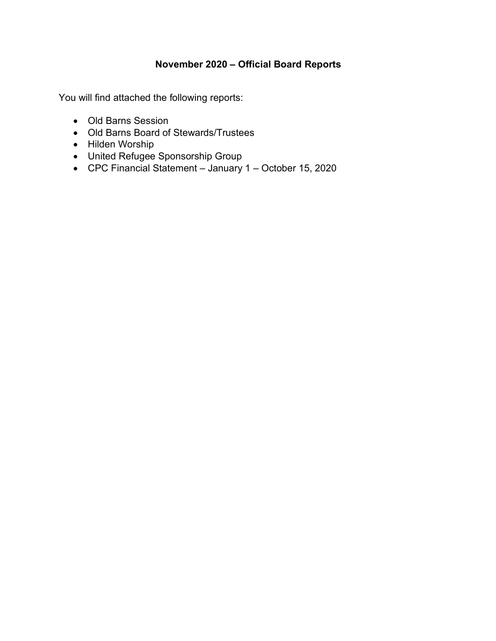# **November 2020 – Official Board Reports**

You will find attached the following reports:

- Old Barns Session
- Old Barns Board of Stewards/Trustees
- Hilden Worship
- United Refugee Sponsorship Group
- CPC Financial Statement January 1 October 15, 2020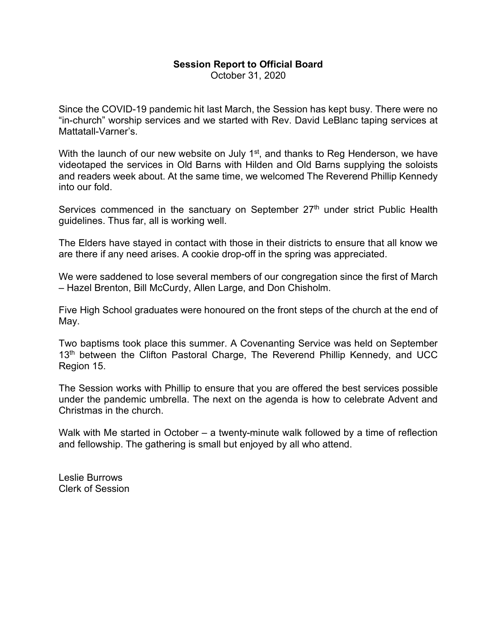## **Session Report to Official Board**

October 31, 2020

Since the COVID-19 pandemic hit last March, the Session has kept busy. There were no "in-church" worship services and we started with Rev. David LeBlanc taping services at Mattatall-Varner's.

With the launch of our new website on July  $1<sup>st</sup>$ , and thanks to Reg Henderson, we have videotaped the services in Old Barns with Hilden and Old Barns supplying the soloists and readers week about. At the same time, we welcomed The Reverend Phillip Kennedy into our fold.

Services commenced in the sanctuary on September 27<sup>th</sup> under strict Public Health guidelines. Thus far, all is working well.

The Elders have stayed in contact with those in their districts to ensure that all know we are there if any need arises. A cookie drop-off in the spring was appreciated.

We were saddened to lose several members of our congregation since the first of March – Hazel Brenton, Bill McCurdy, Allen Large, and Don Chisholm.

Five High School graduates were honoured on the front steps of the church at the end of May.

Two baptisms took place this summer. A Covenanting Service was held on September 13<sup>th</sup> between the Clifton Pastoral Charge, The Reverend Phillip Kennedy, and UCC Region 15.

The Session works with Phillip to ensure that you are offered the best services possible under the pandemic umbrella. The next on the agenda is how to celebrate Advent and Christmas in the church.

Walk with Me started in October – a twenty-minute walk followed by a time of reflection and fellowship. The gathering is small but enjoyed by all who attend.

Leslie Burrows Clerk of Session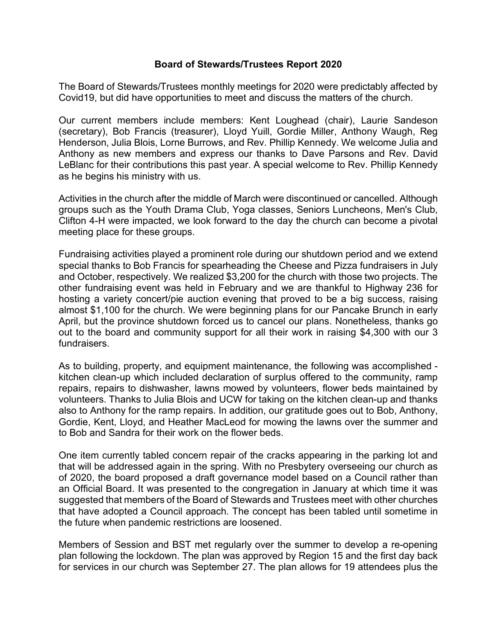#### **Board of Stewards/Trustees Report 2020**

The Board of Stewards/Trustees monthly meetings for 2020 were predictably affected by Covid19, but did have opportunities to meet and discuss the matters of the church.

Our current members include members: Kent Loughead (chair), Laurie Sandeson (secretary), Bob Francis (treasurer), Lloyd Yuill, Gordie Miller, Anthony Waugh, Reg Henderson, Julia Blois, Lorne Burrows, and Rev. Phillip Kennedy. We welcome Julia and Anthony as new members and express our thanks to Dave Parsons and Rev. David LeBlanc for their contributions this past year. A special welcome to Rev. Phillip Kennedy as he begins his ministry with us.

Activities in the church after the middle of March were discontinued or cancelled. Although groups such as the Youth Drama Club, Yoga classes, Seniors Luncheons, Men's Club, Clifton 4-H were impacted, we look forward to the day the church can become a pivotal meeting place for these groups.

Fundraising activities played a prominent role during our shutdown period and we extend special thanks to Bob Francis for spearheading the Cheese and Pizza fundraisers in July and October, respectively. We realized \$3,200 for the church with those two projects. The other fundraising event was held in February and we are thankful to Highway 236 for hosting a variety concert/pie auction evening that proved to be a big success, raising almost \$1,100 for the church. We were beginning plans for our Pancake Brunch in early April, but the province shutdown forced us to cancel our plans. Nonetheless, thanks go out to the board and community support for all their work in raising \$4,300 with our 3 fundraisers.

As to building, property, and equipment maintenance, the following was accomplished kitchen clean-up which included declaration of surplus offered to the community, ramp repairs, repairs to dishwasher, lawns mowed by volunteers, flower beds maintained by volunteers. Thanks to Julia Blois and UCW for taking on the kitchen clean-up and thanks also to Anthony for the ramp repairs. In addition, our gratitude goes out to Bob, Anthony, Gordie, Kent, Lloyd, and Heather MacLeod for mowing the lawns over the summer and to Bob and Sandra for their work on the flower beds.

One item currently tabled concern repair of the cracks appearing in the parking lot and that will be addressed again in the spring. With no Presbytery overseeing our church as of 2020, the board proposed a draft governance model based on a Council rather than an Official Board. It was presented to the congregation in January at which time it was suggested that members of the Board of Stewards and Trustees meet with other churches that have adopted a Council approach. The concept has been tabled until sometime in the future when pandemic restrictions are loosened.

Members of Session and BST met regularly over the summer to develop a re-opening plan following the lockdown. The plan was approved by Region 15 and the first day back for services in our church was September 27. The plan allows for 19 attendees plus the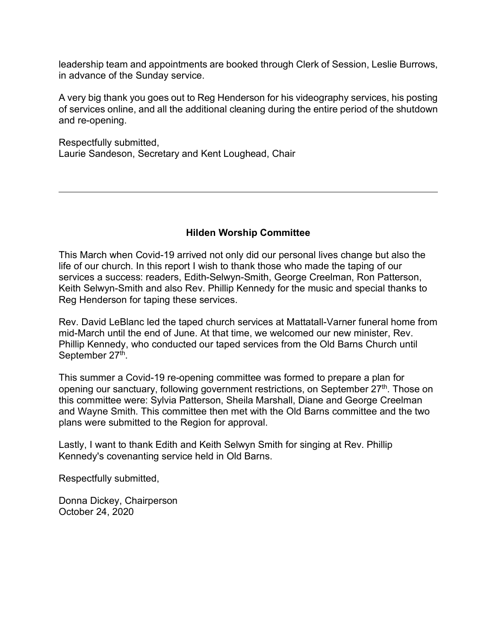leadership team and appointments are booked through Clerk of Session, Leslie Burrows, in advance of the Sunday service.

A very big thank you goes out to Reg Henderson for his videography services, his posting of services online, and all the additional cleaning during the entire period of the shutdown and re-opening.

Respectfully submitted, Laurie Sandeson, Secretary and Kent Loughead, Chair

### **Hilden Worship Committee**

This March when Covid-19 arrived not only did our personal lives change but also the life of our church. In this report I wish to thank those who made the taping of our services a success: readers, Edith-Selwyn-Smith, George Creelman, Ron Patterson, Keith Selwyn-Smith and also Rev. Phillip Kennedy for the music and special thanks to Reg Henderson for taping these services.

Rev. David LeBlanc led the taped church services at Mattatall-Varner funeral home from mid-March until the end of June. At that time, we welcomed our new minister, Rev. Phillip Kennedy, who conducted our taped services from the Old Barns Church until September 27<sup>th</sup>.

This summer a Covid-19 re-opening committee was formed to prepare a plan for opening our sanctuary, following government restrictions, on September 27<sup>th</sup>. Those on this committee were: Sylvia Patterson, Sheila Marshall, Diane and George Creelman and Wayne Smith. This committee then met with the Old Barns committee and the two plans were submitted to the Region for approval.

Lastly, I want to thank Edith and Keith Selwyn Smith for singing at Rev. Phillip Kennedy's covenanting service held in Old Barns.

Respectfully submitted,

Donna Dickey, Chairperson October 24, 2020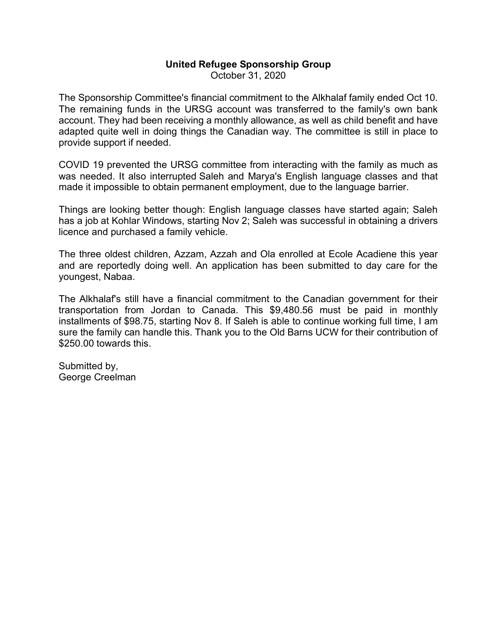# **United Refugee Sponsorship Group**

October 31, 2020

The Sponsorship Committee's financial commitment to the Alkhalaf family ended Oct 10. The remaining funds in the URSG account was transferred to the family's own bank account. They had been receiving a monthly allowance, as well as child benefit and have adapted quite well in doing things the Canadian way. The committee is still in place to provide support if needed.

COVID 19 prevented the URSG committee from interacting with the family as much as was needed. It also interrupted Saleh and Marya's English language classes and that made it impossible to obtain permanent employment, due to the language barrier.

Things are looking better though: English language classes have started again; Saleh has a job at Kohlar Windows, starting Nov 2; Saleh was successful in obtaining a drivers licence and purchased a family vehicle.

The three oldest children, Azzam, Azzah and Ola enrolled at Ecole Acadiene this year and are reportedly doing well. An application has been submitted to day care for the youngest, Nabaa.

The Alkhalaf's still have a financial commitment to the Canadian government for their transportation from Jordan to Canada. This \$9,480.56 must be paid in monthly installments of \$98.75, starting Nov 8. If Saleh is able to continue working full time, I am sure the family can handle this. Thank you to the Old Barns UCW for their contribution of \$250.00 towards this.

Submitted by, George Creelman